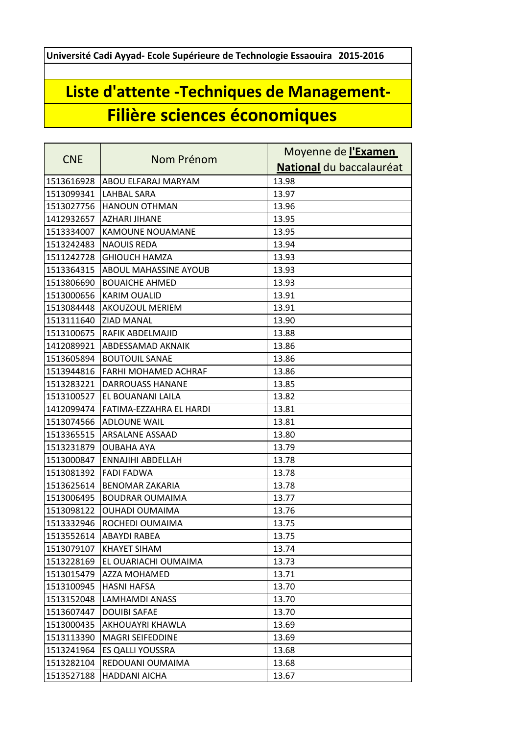**Université Cadi Ayyad- Ecole Supérieure de Technologie Essaouira 2015-2016**

## **Liste d'attente -Techniques de Management-Filière sciences économiques**

|            | Nom Prénom                   | Moyenne de l'Examen      |
|------------|------------------------------|--------------------------|
| <b>CNE</b> |                              | National du baccalauréat |
| 1513616928 | ABOU ELFARAJ MARYAM          | 13.98                    |
| 1513099341 | <b>LAHBAL SARA</b>           | 13.97                    |
| 1513027756 | <b>HANOUN OTHMAN</b>         | 13.96                    |
| 1412932657 | <b>AZHARI JIHANE</b>         | 13.95                    |
| 1513334007 | <b>KAMOUNE NOUAMANE</b>      | 13.95                    |
| 1513242483 | <b>NAOUIS REDA</b>           | 13.94                    |
| 1511242728 | <b>GHIOUCH HAMZA</b>         | 13.93                    |
| 1513364315 | <b>ABOUL MAHASSINE AYOUB</b> | 13.93                    |
| 1513806690 | <b>BOUAICHE AHMED</b>        | 13.93                    |
| 1513000656 | <b>KARIM OUALID</b>          | 13.91                    |
| 1513084448 | <b>AKOUZOUL MERIEM</b>       | 13.91                    |
| 1513111640 | <b>ZIAD MANAL</b>            | 13.90                    |
| 1513100675 | RAFIK ABDELMAJID             | 13.88                    |
| 1412089921 | ABDESSAMAD AKNAIK            | 13.86                    |
| 1513605894 | <b>BOUTOUIL SANAE</b>        | 13.86                    |
| 1513944816 | FARHI MOHAMED ACHRAF         | 13.86                    |
| 1513283221 | <b>DARROUASS HANANE</b>      | 13.85                    |
| 1513100527 | EL BOUANANI LAILA            | 13.82                    |
| 1412099474 | FATIMA-EZZAHRA EL HARDI      | 13.81                    |
| 1513074566 | <b>ADLOUNE WAIL</b>          | 13.81                    |
| 1513365515 | <b>ARSALANE ASSAAD</b>       | 13.80                    |
| 1513231879 | <b>OUBAHA AYA</b>            | 13.79                    |
| 1513000847 | ENNAJIHI ABDELLAH            | 13.78                    |
| 1513081392 | <b>FADI FADWA</b>            | 13.78                    |
| 1513625614 | <b>BENOMAR ZAKARIA</b>       | 13.78                    |
| 1513006495 | <b>BOUDRAR OUMAIMA</b>       | 13.77                    |
| 1513098122 | <b>OUHADI OUMAIMA</b>        | 13.76                    |
| 1513332946 | ROCHEDI OUMAIMA              | 13.75                    |
| 1513552614 | <b>ABAYDI RABEA</b>          | 13.75                    |
| 1513079107 | <b>KHAYET SIHAM</b>          | 13.74                    |
| 1513228169 | EL OUARIACHI OUMAIMA         | 13.73                    |
| 1513015479 | AZZA MOHAMED                 | 13.71                    |
| 1513100945 | <b>HASNI HAFSA</b>           | 13.70                    |
| 1513152048 | <b>LAMHAMDI ANASS</b>        | 13.70                    |
| 1513607447 | <b>DOUIBI SAFAE</b>          | 13.70                    |
| 1513000435 | AKHOUAYRI KHAWLA             | 13.69                    |
| 1513113390 | <b>MAGRI SEIFEDDINE</b>      | 13.69                    |
| 1513241964 | ES QALLI YOUSSRA             | 13.68                    |
| 1513282104 | REDOUANI OUMAIMA             | 13.68                    |
| 1513527188 | <b>HADDANI AICHA</b>         | 13.67                    |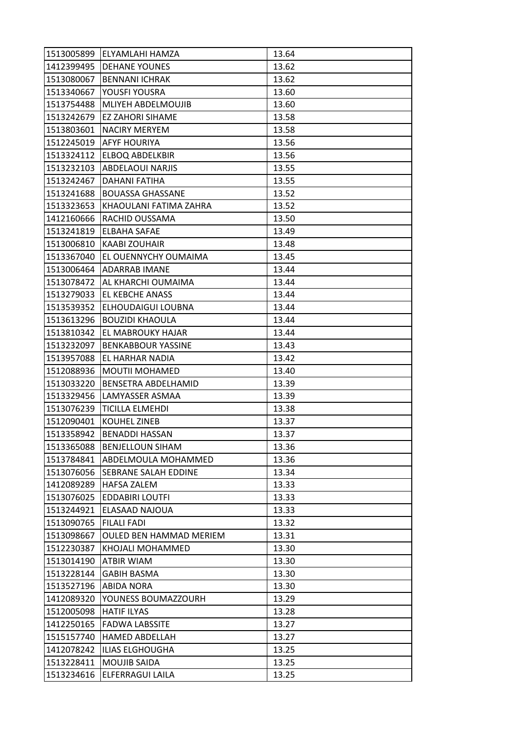| 1513005899 | ELYAMLAHI HAMZA                | 13.64 |
|------------|--------------------------------|-------|
| 1412399495 | <b>DEHANE YOUNES</b>           | 13.62 |
| 1513080067 | <b>BENNANI ICHRAK</b>          | 13.62 |
| 1513340667 | YOUSFI YOUSRA                  | 13.60 |
| 1513754488 | MLIYEH ABDELMOUJIB             | 13.60 |
| 1513242679 | EZ ZAHORI SIHAME               | 13.58 |
| 1513803601 | <b>NACIRY MERYEM</b>           | 13.58 |
| 1512245019 | AFYF HOURIYA                   | 13.56 |
| 1513324112 | <b>ELBOQ ABDELKBIR</b>         | 13.56 |
| 1513232103 | <b>ABDELAOUI NARJIS</b>        | 13.55 |
| 1513242467 | <b>DAHANI FATIHA</b>           | 13.55 |
| 1513241688 | <b>BOUASSA GHASSANE</b>        | 13.52 |
| 1513323653 | KHAOULANI FATIMA ZAHRA         | 13.52 |
| 1412160666 | RACHID OUSSAMA                 | 13.50 |
| 1513241819 | ELBAHA SAFAE                   | 13.49 |
| 1513006810 | KAABI ZOUHAIR                  | 13.48 |
| 1513367040 | EL OUENNYCHY OUMAIMA           | 13.45 |
| 1513006464 | <b>ADARRAB IMANE</b>           | 13.44 |
| 1513078472 | AL KHARCHI OUMAIMA             | 13.44 |
| 1513279033 | EL KEBCHE ANASS                | 13.44 |
| 1513539352 | ELHOUDAIGUI LOUBNA             | 13.44 |
| 1513613296 | <b>BOUZIDI KHAOULA</b>         | 13.44 |
| 1513810342 | EL MABROUKY HAJAR              | 13.44 |
| 1513232097 | <b>BENKABBOUR YASSINE</b>      | 13.43 |
| 1513957088 | EL HARHAR NADIA                | 13.42 |
| 1512088936 | <b>MOUTII MOHAMED</b>          | 13.40 |
| 1513033220 | BENSETRA ABDELHAMID            | 13.39 |
| 1513329456 | LAMYASSER ASMAA                | 13.39 |
| 1513076239 | <b>TICILLA ELMEHDI</b>         | 13.38 |
| 1512090401 | <b>KOUHEL ZINEB</b>            | 13.37 |
| 1513358942 | <b>BENADDI HASSAN</b>          | 13.37 |
| 1513365088 | <b>BENJELLOUN SIHAM</b>        | 13.36 |
| 1513784841 | ABDELMOULA MOHAMMED            | 13.36 |
| 1513076056 | SEBRANE SALAH EDDINE           | 13.34 |
| 1412089289 | <b>HAFSA ZALEM</b>             | 13.33 |
| 1513076025 | <b>EDDABIRI LOUTFI</b>         | 13.33 |
| 1513244921 | ELASAAD NAJOUA                 | 13.33 |
| 1513090765 | <b>FILALI FADI</b>             | 13.32 |
| 1513098667 | <b>OULED BEN HAMMAD MERIEM</b> | 13.31 |
| 1512230387 | KHOJALI MOHAMMED               | 13.30 |
| 1513014190 | ATBIR WIAM                     | 13.30 |
| 1513228144 | <b>GABIH BASMA</b>             | 13.30 |
| 1513527196 | <b>ABIDA NORA</b>              | 13.30 |
| 1412089320 | YOUNESS BOUMAZZOURH            | 13.29 |
| 1512005098 | <b>HATIF ILYAS</b>             | 13.28 |
| 1412250165 | <b>FADWA LABSSITE</b>          | 13.27 |
| 1515157740 | <b>HAMED ABDELLAH</b>          | 13.27 |
| 1412078242 | ILIAS ELGHOUGHA                | 13.25 |
| 1513228411 | <b>MOUJIB SAIDA</b>            | 13.25 |
| 1513234616 | ELFERRAGUI LAILA               | 13.25 |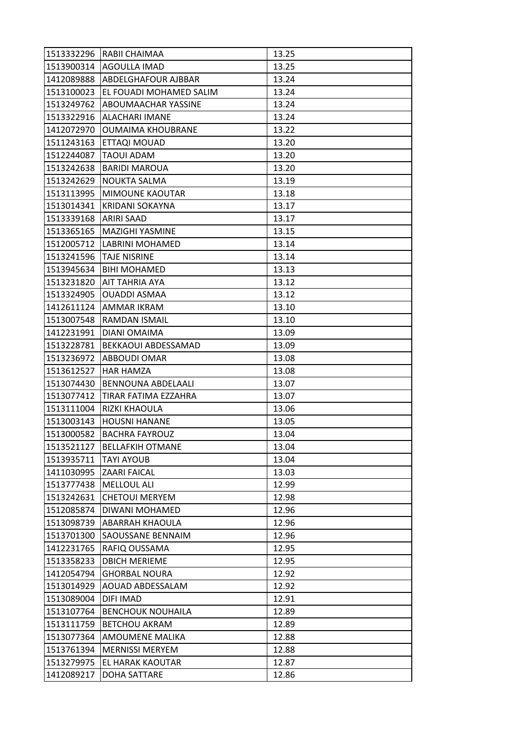| 1513332296 | RABII CHAIMAA            | 13.25 |
|------------|--------------------------|-------|
| 1513900314 | <b>AGOULLA IMAD</b>      | 13.25 |
| 1412089888 | ABDELGHAFOUR AJBBAR      | 13.24 |
| 1513100023 | EL FOUADI MOHAMED SALIM  | 13.24 |
| 1513249762 | ABOUMAACHAR YASSINE      | 13.24 |
| 1513322916 | <b>ALACHARI IMANE</b>    | 13.24 |
| 1412072970 | <b>OUMAIMA KHOUBRANE</b> | 13.22 |
| 1511243163 | ETTAQI MOUAD             | 13.20 |
| 1512244087 | TAOUI ADAM               | 13.20 |
| 1513242638 | <b>BARIDI MAROUA</b>     | 13.20 |
| 1513242629 | <b>NOUKTA SALMA</b>      | 13.19 |
| 1513113995 | <b>MIMOUNE KAOUTAR</b>   | 13.18 |
| 1513014341 | KRIDANI SOKAYNA          | 13.17 |
| 1513339168 | ARIRI SAAD               | 13.17 |
| 1513365165 | <b>MAZIGHI YASMINE</b>   | 13.15 |
| 1512005712 | LABRINI MOHAMED          | 13.14 |
| 1513241596 | <b>TAJE NISRINE</b>      | 13.14 |
| 1513945634 | <b>BIHI MOHAMED</b>      | 13.13 |
| 1513231820 | AIT TAHRIA AYA           | 13.12 |
| 1513324905 | <b>OUADDI ASMAA</b>      | 13.12 |
| 1412611124 | AMMAR IKRAM              | 13.10 |
| 1513007548 | RAMDAN ISMAIL            | 13.10 |
| 1412231991 | DIANI OMAIMA             | 13.09 |
| 1513228781 | BEKKAOUI ABDESSAMAD      | 13.09 |
| 1513236972 | ABBOUDI OMAR             | 13.08 |
| 1513612527 | <b>HAR HAMZA</b>         | 13.08 |
| 1513074430 | BENNOUNA ABDELAALI       | 13.07 |
| 1513077412 | TIRAR FATIMA EZZAHRA     | 13.07 |
| 1513111004 | RIZKI KHAOULA            | 13.06 |
| 1513003143 | <b>HOUSNI HANANE</b>     | 13.05 |
| 1513000582 | <b>BACHRA FAYROUZ</b>    | 13.04 |
| 1513521127 | <b>BELLAFKIH OTMANE</b>  | 13.04 |
| 1513935711 | <b>TAYI AYOUB</b>        | 13.04 |
| 1411030995 | <b>ZAARI FAICAL</b>      | 13.03 |
| 1513777438 | MELLOUL ALI              | 12.99 |
| 1513242631 | <b>CHETOUI MERYEM</b>    | 12.98 |
| 1512085874 | DIWANI MOHAMED           | 12.96 |
| 1513098739 | <b>ABARRAH KHAOULA</b>   | 12.96 |
| 1513701300 | SAOUSSANE BENNAIM        | 12.96 |
| 1412231765 | RAFIQ OUSSAMA            | 12.95 |
| 1513358233 | <b>DBICH MERIEME</b>     | 12.95 |
| 1412054794 | <b>GHORBAL NOURA</b>     | 12.92 |
| 1513014929 | AOUAD ABDESSALAM         | 12.92 |
| 1513089004 | DIFI IMAD                | 12.91 |
| 1513107764 | <b>BENCHOUK NOUHAILA</b> | 12.89 |
| 1513111759 | <b>BETCHOU AKRAM</b>     | 12.89 |
| 1513077364 | AMOUMENE MALIKA          | 12.88 |
| 1513761394 | <b>MERNISSI MERYEM</b>   | 12.88 |
| 1513279975 | EL HARAK KAOUTAR         | 12.87 |
| 1412089217 | DOHA SATTARE             | 12.86 |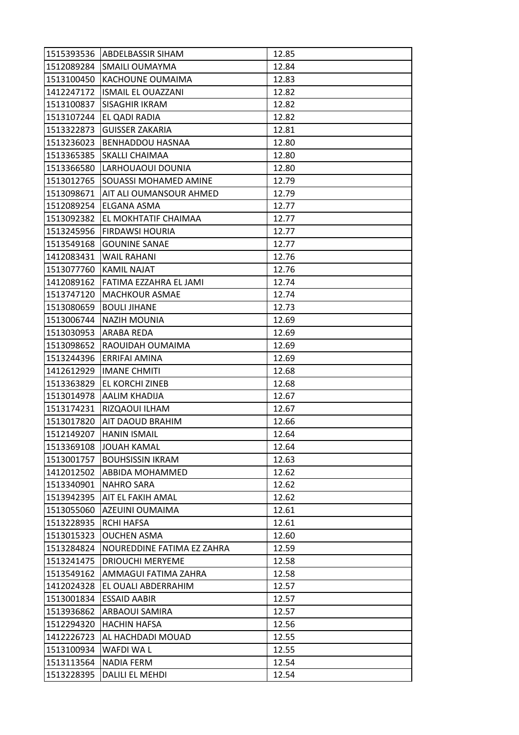| 1515393536 | ABDELBASSIR SIHAM            | 12.85 |
|------------|------------------------------|-------|
| 1512089284 | <b>SMAILI OUMAYMA</b>        | 12.84 |
| 1513100450 | KACHOUNE OUMAIMA             | 12.83 |
| 1412247172 | <b>ISMAIL EL OUAZZANI</b>    | 12.82 |
| 1513100837 | SISAGHIR IKRAM               | 12.82 |
| 1513107244 | EL QADI RADIA                | 12.82 |
| 1513322873 | <b>GUISSER ZAKARIA</b>       | 12.81 |
| 1513236023 | <b>BENHADDOU HASNAA</b>      | 12.80 |
| 1513365385 | SKALLI CHAIMAA               | 12.80 |
| 1513366580 | LARHOUAOUI DOUNIA            | 12.80 |
| 1513012765 | <b>SOUASSI MOHAMED AMINE</b> | 12.79 |
| 1513098671 | AIT ALI OUMANSOUR AHMED      | 12.79 |
| 1512089254 | ELGANA ASMA                  | 12.77 |
| 1513092382 | EL MOKHTATIF CHAIMAA         | 12.77 |
| 1513245956 | <b>FIRDAWSI HOURIA</b>       | 12.77 |
| 1513549168 | <b>GOUNINE SANAE</b>         | 12.77 |
| 1412083431 | WAIL RAHANI                  | 12.76 |
| 1513077760 | KAMIL NAJAT                  | 12.76 |
| 1412089162 | FATIMA EZZAHRA EL JAMI       | 12.74 |
| 1513747120 | <b>MACHKOUR ASMAE</b>        | 12.74 |
| 1513080659 | <b>BOULI JIHANE</b>          | 12.73 |
| 1513006744 | NAZIH MOUNIA                 | 12.69 |
| 1513030953 | ARABA REDA                   | 12.69 |
| 1513098652 | RAOUIDAH OUMAIMA             | 12.69 |
| 1513244396 | ERRIFAI AMINA                | 12.69 |
| 1412612929 | <b>IMANE CHMITI</b>          | 12.68 |
| 1513363829 | EL KORCHI ZINEB              | 12.68 |
| 1513014978 | AALIM KHADIJA                | 12.67 |
| 1513174231 | RIZQAOUI ILHAM               | 12.67 |
| 1513017820 | AIT DAOUD BRAHIM             | 12.66 |
| 1512149207 | <b>HANIN ISMAIL</b>          | 12.64 |
| 1513369108 | <b>JOUAH KAMAL</b>           | 12.64 |
| 1513001757 | <b>BOUHSISSIN IKRAM</b>      | 12.63 |
| 1412012502 | ABBIDA MOHAMMED              | 12.62 |
| 1513340901 | <b>NAHRO SARA</b>            | 12.62 |
| 1513942395 | AIT EL FAKIH AMAL            | 12.62 |
| 1513055060 | AZEUINI OUMAIMA              | 12.61 |
| 1513228935 | <b>RCHI HAFSA</b>            | 12.61 |
| 1513015323 | <b>OUCHEN ASMA</b>           | 12.60 |
| 1513284824 | NOUREDDINE FATIMA EZ ZAHRA   | 12.59 |
| 1513241475 | <b>DRIOUCHI MERYEME</b>      | 12.58 |
| 1513549162 | AMMAGUI FATIMA ZAHRA         | 12.58 |
| 1412024328 | EL OUALI ABDERRAHIM          | 12.57 |
| 1513001834 | <b>ESSAID AABIR</b>          | 12.57 |
| 1513936862 | ARBAOUI SAMIRA               | 12.57 |
| 1512294320 | <b>HACHIN HAFSA</b>          | 12.56 |
| 1412226723 | AL HACHDADI MOUAD            | 12.55 |
| 1513100934 | WAFDI WA L                   | 12.55 |
| 1513113564 | <b>NADIA FERM</b>            | 12.54 |
| 1513228395 | DALILI EL MEHDI              | 12.54 |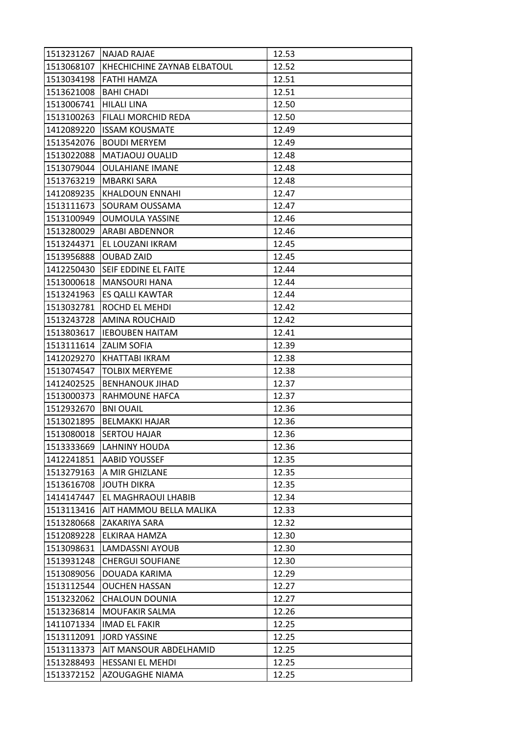| 1513231267 | <b>NAJAD RAJAE</b>          | 12.53 |
|------------|-----------------------------|-------|
| 1513068107 | KHECHICHINE ZAYNAB ELBATOUL | 12.52 |
| 1513034198 | <b>FATHI HAMZA</b>          | 12.51 |
| 1513621008 | <b>BAHI CHADI</b>           | 12.51 |
| 1513006741 | <b>HILALI LINA</b>          | 12.50 |
| 1513100263 | FILALI MORCHID REDA         | 12.50 |
| 1412089220 | <b>ISSAM KOUSMATE</b>       | 12.49 |
| 1513542076 | <b>BOUDI MERYEM</b>         | 12.49 |
| 1513022088 | MATJAOUJ OUALID             | 12.48 |
| 1513079044 | <b>OULAHIANE IMANE</b>      | 12.48 |
| 1513763219 | MBARKI SARA                 | 12.48 |
| 1412089235 | <b>KHALDOUN ENNAHI</b>      | 12.47 |
| 1513111673 | SOURAM OUSSAMA              | 12.47 |
| 1513100949 | <b>OUMOULA YASSINE</b>      | 12.46 |
| 1513280029 | ARABI ABDENNOR              | 12.46 |
| 1513244371 | EL LOUZANI IKRAM            | 12.45 |
| 1513956888 | <b>OUBAD ZAID</b>           | 12.45 |
| 1412250430 | SEIF EDDINE EL FAITE        | 12.44 |
| 1513000618 | <b>MANSOURI HANA</b>        | 12.44 |
| 1513241963 | ES QALLI KAWTAR             | 12.44 |
| 1513032781 | ROCHD EL MEHDI              | 12.42 |
| 1513243728 | AMINA ROUCHAID              | 12.42 |
| 1513803617 | <b>IEBOUBEN HAITAM</b>      | 12.41 |
| 1513111614 | ZALIM SOFIA                 | 12.39 |
| 1412029270 | KHATTABI IKRAM              | 12.38 |
| 1513074547 | <b>TOLBIX MERYEME</b>       | 12.38 |
| 1412402525 | <b>BENHANOUK JIHAD</b>      | 12.37 |
| 1513000373 | RAHMOUNE HAFCA              | 12.37 |
| 1512932670 | <b>BNI OUAIL</b>            | 12.36 |
| 1513021895 | <b>BELMAKKI HAJAR</b>       | 12.36 |
| 1513080018 | <b>SERTOU HAJAR</b>         | 12.36 |
| 1513333669 | <b>LAHNINY HOUDA</b>        | 12.36 |
| 1412241851 | <b>AABID YOUSSEF</b>        | 12.35 |
| 1513279163 | A MIR GHIZLANE              | 12.35 |
| 1513616708 | <b>JOUTH DIKRA</b>          | 12.35 |
| 1414147447 | EL MAGHRAOUI LHABIB         | 12.34 |
| 1513113416 | AIT HAMMOU BELLA MALIKA     | 12.33 |
| 1513280668 | ZAKARIYA SARA               | 12.32 |
| 1512089228 | ELKIRAA HAMZA               | 12.30 |
| 1513098631 | <b>LAMDASSNI AYOUB</b>      | 12.30 |
| 1513931248 | <b>CHERGUI SOUFIANE</b>     | 12.30 |
| 1513089056 | DOUADA KARIMA               | 12.29 |
| 1513112544 | <b>OUCHEN HASSAN</b>        | 12.27 |
| 1513232062 | CHALOUN DOUNIA              | 12.27 |
| 1513236814 | MOUFAKIR SALMA              | 12.26 |
| 1411071334 | <b>IMAD EL FAKIR</b>        | 12.25 |
| 1513112091 | <b>JORD YASSINE</b>         | 12.25 |
| 1513113373 | AIT MANSOUR ABDELHAMID      | 12.25 |
| 1513288493 | <b>HESSANI EL MEHDI</b>     | 12.25 |
| 1513372152 | AZOUGAGHE NIAMA             | 12.25 |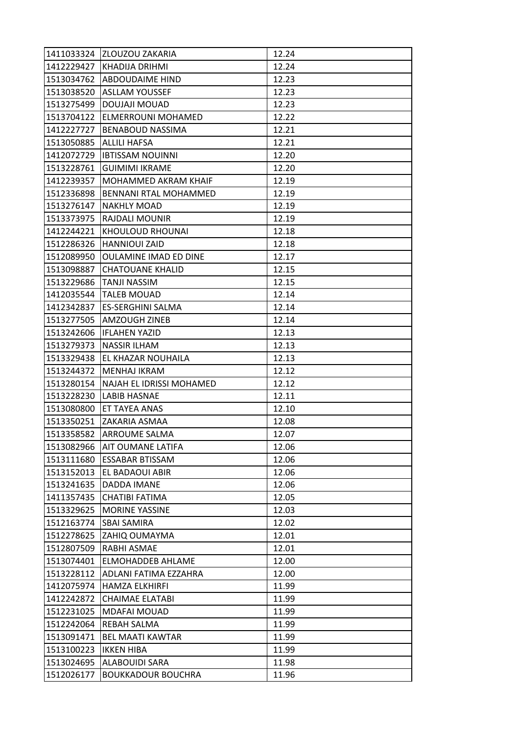| 1411033324 | <b>ZLOUZOU ZAKARIA</b>       | 12.24 |
|------------|------------------------------|-------|
| 1412229427 | <b>KHADIJA DRIHMI</b>        | 12.24 |
| 1513034762 | <b>ABDOUDAIME HIND</b>       | 12.23 |
| 1513038520 | <b>ASLLAM YOUSSEF</b>        | 12.23 |
| 1513275499 | DOUJAJI MOUAD                | 12.23 |
| 1513704122 | ELMERROUNI MOHAMED           | 12.22 |
| 1412227727 | <b>BENABOUD NASSIMA</b>      | 12.21 |
| 1513050885 | ALLILI HAFSA                 | 12.21 |
| 1412072729 | <b>IBTISSAM NOUINNI</b>      | 12.20 |
| 1513228761 | <b>GUIMIMI IKRAME</b>        | 12.20 |
| 1412239357 | MOHAMMED AKRAM KHAIF         | 12.19 |
| 1512336898 | BENNANI RTAL MOHAMMED        | 12.19 |
| 1513276147 | <b>NAKHLY MOAD</b>           | 12.19 |
| 1513373975 | <b>RAJDALI MOUNIR</b>        | 12.19 |
| 1412244221 | KHOULOUD RHOUNAI             | 12.18 |
| 1512286326 | <b>HANNIOUI ZAID</b>         | 12.18 |
| 1512089950 | <b>OULAMINE IMAD ED DINE</b> | 12.17 |
| 1513098887 | <b>CHATOUANE KHALID</b>      | 12.15 |
| 1513229686 | <b>TANJI NASSIM</b>          | 12.15 |
| 1412035544 | <b>TALEB MOUAD</b>           | 12.14 |
| 1412342837 | <b>ES-SERGHINI SALMA</b>     | 12.14 |
| 1513277505 | <b>AMZOUGH ZINEB</b>         | 12.14 |
| 1513242606 | <b>IFLAHEN YAZID</b>         | 12.13 |
| 1513279373 | NASSIR ILHAM                 | 12.13 |
| 1513329438 | EL KHAZAR NOUHAILA           | 12.13 |
| 1513244372 | <b>MENHAJ IKRAM</b>          | 12.12 |
| 1513280154 | NAJAH EL IDRISSI MOHAMED     | 12.12 |
| 1513228230 | <b>LABIB HASNAE</b>          | 12.11 |
| 1513080800 | ET TAYEA ANAS                | 12.10 |
| 1513350251 | <b>ZAKARIA ASMAA</b>         | 12.08 |
| 1513358582 | <b>ARROUME SALMA</b>         | 12.07 |
| 1513082966 | <b>AIT OUMANE LATIFA</b>     | 12.06 |
| 1513111680 | ESSABAR BTISSAM              | 12.06 |
| 1513152013 | EL BADAOUI ABIR              | 12.06 |
| 1513241635 | DADDA IMANE                  | 12.06 |
| 1411357435 | CHATIBI FATIMA               | 12.05 |
| 1513329625 | <b>MORINE YASSINE</b>        | 12.03 |
| 1512163774 | <b>SBAI SAMIRA</b>           | 12.02 |
| 1512278625 | ZAHIQ OUMAYMA                | 12.01 |
| 1512807509 | RABHI ASMAE                  | 12.01 |
| 1513074401 | ELMOHADDEB AHLAME            | 12.00 |
| 1513228112 | ADLANI FATIMA EZZAHRA        | 12.00 |
| 1412075974 | HAMZA ELKHIRFI               | 11.99 |
| 1412242872 | <b>CHAIMAE ELATABI</b>       | 11.99 |
| 1512231025 | <b>MDAFAI MOUAD</b>          | 11.99 |
| 1512242064 | REBAH SALMA                  | 11.99 |
| 1513091471 | <b>BEL MAATI KAWTAR</b>      | 11.99 |
| 1513100223 | <b>IKKEN HIBA</b>            | 11.99 |
| 1513024695 | <b>ALABOUIDI SARA</b>        | 11.98 |
| 1512026177 | <b>BOUKKADOUR BOUCHRA</b>    | 11.96 |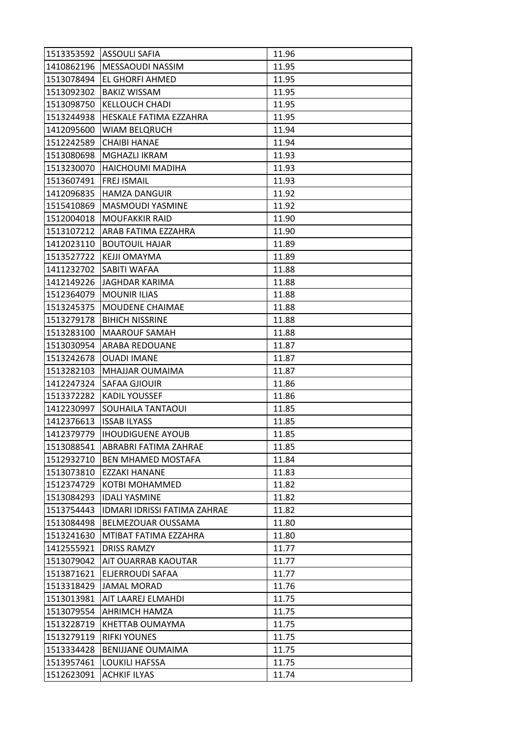| 1513353592 | <b>ASSOULI SAFIA</b>         | 11.96 |
|------------|------------------------------|-------|
| 1410862196 | MESSAOUDI NASSIM             | 11.95 |
| 1513078494 | EL GHORFI AHMED              | 11.95 |
| 1513092302 | <b>BAKIZ WISSAM</b>          | 11.95 |
| 1513098750 | <b>KELLOUCH CHADI</b>        | 11.95 |
| 1513244938 | HESKALE FATIMA EZZAHRA       | 11.95 |
| 1412095600 | <b>WIAM BELQRUCH</b>         | 11.94 |
| 1512242589 | <b>CHAIBI HANAE</b>          | 11.94 |
| 1513080698 | <b>MGHAZLI IKRAM</b>         | 11.93 |
| 1513230070 | <b>HAICHOUMI MADIHA</b>      | 11.93 |
| 1513607491 | <b>FREJ ISMAIL</b>           | 11.93 |
| 1412096835 | <b>HAMZA DANGUIR</b>         | 11.92 |
| 1515410869 | <b>MASMOUDI YASMINE</b>      | 11.92 |
| 1512004018 | <b>MOUFAKKIR RAID</b>        | 11.90 |
| 1513107212 | ARAB FATIMA EZZAHRA          | 11.90 |
| 1412023110 | <b>BOUTOUIL HAJAR</b>        | 11.89 |
| 1513527722 | KEJJI OMAYMA                 | 11.89 |
| 1411232702 | SABITI WAFAA                 | 11.88 |
| 1412149226 | JAGHDAR KARIMA               | 11.88 |
| 1512364079 | <b>MOUNIR ILIAS</b>          | 11.88 |
| 1513245375 | MOUDENE CHAIMAE              | 11.88 |
| 1513279178 | <b>BIHICH NISSRINE</b>       | 11.88 |
| 1513283100 | <b>MAAROUF SAMAH</b>         | 11.88 |
| 1513030954 | ARABA REDOUANE               | 11.87 |
| 1513242678 | <b>OUADI IMANE</b>           | 11.87 |
| 1513282103 | MHAJJAR OUMAIMA              | 11.87 |
| 1412247324 | SAFAA GJIOUIR                | 11.86 |
| 1513372282 | <b>KADIL YOUSSEF</b>         | 11.86 |
| 1412230997 | <b>SOUHAILA TANTAOUI</b>     | 11.85 |
| 1412376613 | <b>ISSAB ILYASS</b>          | 11.85 |
| 1412379779 | <b>IHOUDIGUENE AYOUB</b>     | 11.85 |
| 1513088541 | ABRABRI FATIMA ZAHRAE        | 11.85 |
| 1512932710 | <b>BEN MHAMED MOSTAFA</b>    | 11.84 |
| 1513073810 | EZZAKI HANANE                | 11.83 |
| 1512374729 | KOTBI MOHAMMED               | 11.82 |
| 1513084293 | <b>IDALI YASMINE</b>         | 11.82 |
| 1513754443 | IDMARI IDRISSI FATIMA ZAHRAE | 11.82 |
| 1513084498 | BELMEZOUAR OUSSAMA           | 11.80 |
| 1513241630 | MTIBAT FATIMA EZZAHRA        | 11.80 |
| 1412555921 | <b>DRISS RAMZY</b>           | 11.77 |
| 1513079042 | AIT OUARRAB KAOUTAR          | 11.77 |
| 1513871621 | ELJERROUDI SAFAA             | 11.77 |
| 1513318429 | <b>JAMAL MORAD</b>           | 11.76 |
| 1513013981 | AIT LAAREJ ELMAHDI           | 11.75 |
| 1513079554 | <b>AHRIMCH HAMZA</b>         | 11.75 |
| 1513228719 | KHETTAB OUMAYMA              | 11.75 |
| 1513279119 | <b>RIFKI YOUNES</b>          | 11.75 |
| 1513334428 | <b>BENIJJANE OUMAIMA</b>     | 11.75 |
| 1513957461 | <b>LOUKILI HAFSSA</b>        | 11.75 |
| 1512623091 | <b>ACHKIF ILYAS</b>          | 11.74 |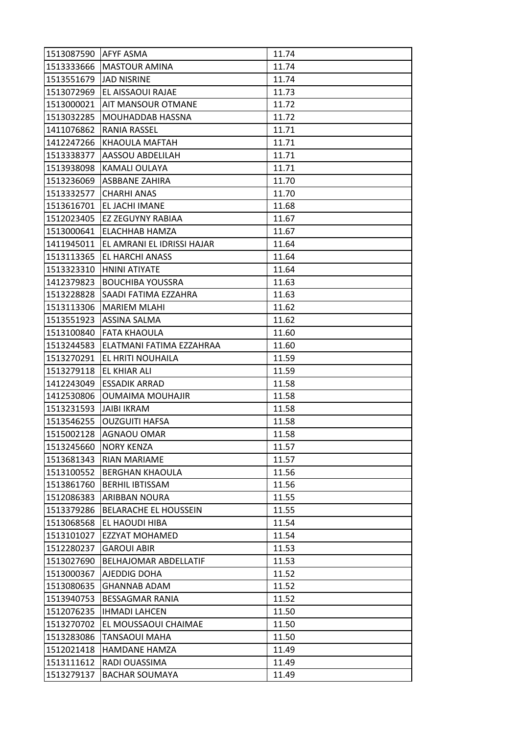| 1513087590 | <b>AFYF ASMA</b>           | 11.74 |
|------------|----------------------------|-------|
| 1513333666 | <b>MASTOUR AMINA</b>       | 11.74 |
| 1513551679 | <b>JAD NISRINE</b>         | 11.74 |
| 1513072969 | EL AISSAOUI RAJAE          | 11.73 |
| 1513000021 | AIT MANSOUR OTMANE         | 11.72 |
| 1513032285 | MOUHADDAB HASSNA           | 11.72 |
| 1411076862 | RANIA RASSEL               | 11.71 |
| 1412247266 | KHAOULA MAFTAH             | 11.71 |
| 1513338377 | AASSOU ABDELILAH           | 11.71 |
| 1513938098 | <b>KAMALI OULAYA</b>       | 11.71 |
| 1513236069 | ASBBANE ZAHIRA             | 11.70 |
| 1513332577 | <b>CHARHI ANAS</b>         | 11.70 |
| 1513616701 | EL JACHI IMANE             | 11.68 |
| 1512023405 | <b>EZ ZEGUYNY RABIAA</b>   | 11.67 |
| 1513000641 | ELACHHAB HAMZA             | 11.67 |
| 1411945011 | EL AMRANI EL IDRISSI HAJAR | 11.64 |
| 1513113365 | EL HARCHI ANASS            | 11.64 |
| 1513323310 | HNINI ATIYATE              | 11.64 |
| 1412379823 | <b>BOUCHIBA YOUSSRA</b>    | 11.63 |
| 1513228828 | SAADI FATIMA EZZAHRA       | 11.63 |
| 1513113306 | <b>MARIEM MLAHI</b>        | 11.62 |
| 1513551923 | ASSINA SALMA               | 11.62 |
| 1513100840 | FATA KHAOULA               | 11.60 |
| 1513244583 | ELATMANI FATIMA EZZAHRAA   | 11.60 |
| 1513270291 | EL HRITI NOUHAILA          | 11.59 |
| 1513279118 | <b>EL KHIAR ALI</b>        | 11.59 |
| 1412243049 | <b>ESSADIK ARRAD</b>       | 11.58 |
| 1412530806 | <b>OUMAIMA MOUHAJIR</b>    | 11.58 |
| 1513231593 | <b>JAIBI IKRAM</b>         | 11.58 |
| 1513546255 | <b>OUZGUITI HAFSA</b>      | 11.58 |
| 1515002128 | AGNAOU OMAR                | 11.58 |
| 1513245660 | <b>NORY KENZA</b>          | 11.57 |
| 1513681343 | <b>RIAN MARIAME</b>        | 11.57 |
| 1513100552 | <b>BERGHAN KHAOULA</b>     | 11.56 |
| 1513861760 | <b>BERHIL IBTISSAM</b>     | 11.56 |
| 1512086383 | ARIBBAN NOURA              | 11.55 |
| 1513379286 | BELARACHE EL HOUSSEIN      | 11.55 |
| 1513068568 | EL HAOUDI HIBA             | 11.54 |
| 1513101027 | <b>EZZYAT MOHAMED</b>      | 11.54 |
| 1512280237 | <b>GAROUI ABIR</b>         | 11.53 |
| 1513027690 | BELHAJOMAR ABDELLATIF      | 11.53 |
| 1513000367 | AJEDDIG DOHA               | 11.52 |
| 1513080635 | <b>GHANNAB ADAM</b>        | 11.52 |
| 1513940753 | <b>BESSAGMAR RANIA</b>     | 11.52 |
| 1512076235 | <b>IHMADI LAHCEN</b>       | 11.50 |
| 1513270702 | EL MOUSSAOUI CHAIMAE       | 11.50 |
| 1513283086 | <b>TANSAOUI MAHA</b>       | 11.50 |
| 1512021418 | HAMDANE HAMZA              | 11.49 |
| 1513111612 | RADI OUASSIMA              | 11.49 |
| 1513279137 | <b>BACHAR SOUMAYA</b>      | 11.49 |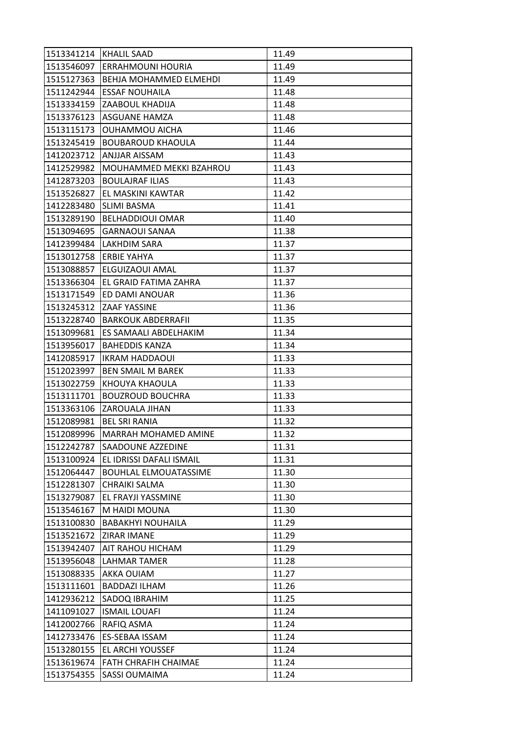| 1513341214 | <b>KHALIL SAAD</b>            | 11.49 |
|------------|-------------------------------|-------|
| 1513546097 | ERRAHMOUNI HOURIA             | 11.49 |
| 1515127363 | <b>BEHJA MOHAMMED ELMEHDI</b> | 11.49 |
| 1511242944 | <b>ESSAF NOUHAILA</b>         | 11.48 |
| 1513334159 | ZAABOUL KHADIJA               | 11.48 |
| 1513376123 | ASGUANE HAMZA                 | 11.48 |
| 1513115173 | <b>OUHAMMOU AICHA</b>         | 11.46 |
| 1513245419 | <b>BOUBAROUD KHAOULA</b>      | 11.44 |
| 1412023712 | ANJJAR AISSAM                 | 11.43 |
| 1412529982 | MOUHAMMED MEKKI BZAHROU       | 11.43 |
| 1412873203 | <b>BOULAJRAF ILIAS</b>        | 11.43 |
| 1513526827 | EL MASKINI KAWTAR             | 11.42 |
| 1412283480 | SLIMI BASMA                   | 11.41 |
| 1513289190 | <b>BELHADDIOUI OMAR</b>       | 11.40 |
| 1513094695 | <b>GARNAOUI SANAA</b>         | 11.38 |
| 1412399484 | <b>LAKHDIM SARA</b>           | 11.37 |
| 1513012758 | ERBIE YAHYA                   | 11.37 |
| 1513088857 | ELGUIZAOUI AMAL               | 11.37 |
| 1513366304 | EL GRAID FATIMA ZAHRA         | 11.37 |
| 1513171549 | ED DAMI ANOUAR                | 11.36 |
| 1513245312 | ZAAF YASSINE                  | 11.36 |
| 1513228740 | <b>BARKOUK ABDERRAFII</b>     | 11.35 |
| 1513099681 | ES SAMAALI ABDELHAKIM         | 11.34 |
| 1513956017 | <b>BAHEDDIS KANZA</b>         | 11.34 |
| 1412085917 | <b>IKRAM HADDAOUI</b>         | 11.33 |
| 1512023997 | <b>BEN SMAIL M BAREK</b>      | 11.33 |
| 1513022759 | KHOUYA KHAOULA                | 11.33 |
| 1513111701 | <b>BOUZROUD BOUCHRA</b>       | 11.33 |
| 1513363106 | ZAROUALA JIHAN                | 11.33 |
| 1512089981 | <b>BEL SRI RANIA</b>          | 11.32 |
| 1512089996 | MARRAH MOHAMED AMINE          | 11.32 |
| 1512242787 | SAADOUNE AZZEDINE             | 11.31 |
| 1513100924 | EL IDRISSI DAFALI ISMAIL      | 11.31 |
| 1512064447 | <b>BOUHLAL ELMOUATASSIME</b>  | 11.30 |
| 1512281307 | <b>CHRAIKI SALMA</b>          | 11.30 |
| 1513279087 | EL FRAYJI YASSMINE            | 11.30 |
| 1513546167 | M HAIDI MOUNA                 | 11.30 |
| 1513100830 | <b>BABAKHYI NOUHAILA</b>      | 11.29 |
| 1513521672 | ZIRAR IMANE                   | 11.29 |
| 1513942407 | AIT RAHOU HICHAM              | 11.29 |
| 1513956048 | LAHMAR TAMER                  | 11.28 |
| 1513088335 | AKKA OUIAM                    | 11.27 |
| 1513111601 | <b>BADDAZI ILHAM</b>          | 11.26 |
| 1412936212 | SADOQ IBRAHIM                 | 11.25 |
| 1411091027 | <b>ISMAIL LOUAFI</b>          | 11.24 |
| 1412002766 | RAFIQ ASMA                    | 11.24 |
| 1412733476 | ES-SEBAA ISSAM                | 11.24 |
| 1513280155 | EL ARCHI YOUSSEF              | 11.24 |
| 1513619674 | FATH CHRAFIH CHAIMAE          | 11.24 |
| 1513754355 | SASSI OUMAIMA                 | 11.24 |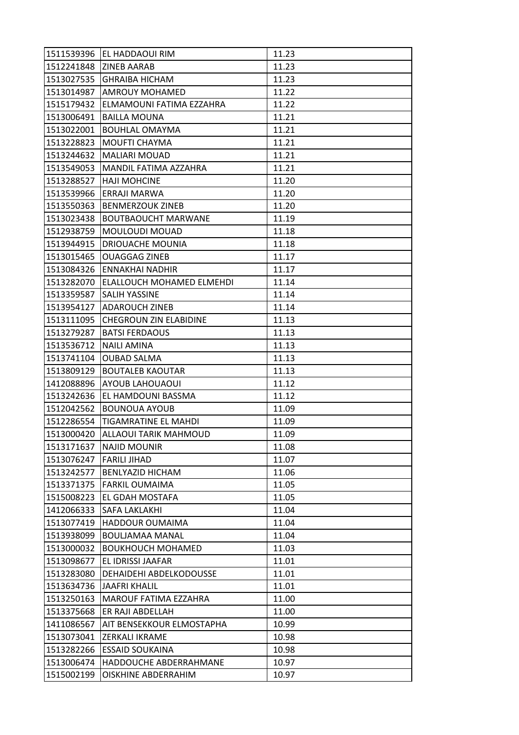|            | 1511539396 EL HADDAOUI RIM    | 11.23 |
|------------|-------------------------------|-------|
| 1512241848 | <b>ZINEB AARAB</b>            | 11.23 |
| 1513027535 | <b>GHRAIBA HICHAM</b>         | 11.23 |
| 1513014987 | <b>AMROUY MOHAMED</b>         | 11.22 |
| 1515179432 | ELMAMOUNI FATIMA EZZAHRA      | 11.22 |
| 1513006491 | <b>BAILLA MOUNA</b>           | 11.21 |
| 1513022001 | <b>BOUHLAL OMAYMA</b>         | 11.21 |
| 1513228823 | MOUFTI CHAYMA                 | 11.21 |
| 1513244632 | <b>MALIARI MOUAD</b>          | 11.21 |
| 1513549053 | MANDIL FATIMA AZZAHRA         | 11.21 |
| 1513288527 | <b>HAJI MOHCINE</b>           | 11.20 |
| 1513539966 | ERRAJI MARWA                  | 11.20 |
| 1513550363 | <b>BENMERZOUK ZINEB</b>       | 11.20 |
| 1513023438 | <b>BOUTBAOUCHT MARWANE</b>    | 11.19 |
| 1512938759 | MOULOUDI MOUAD                | 11.18 |
| 1513944915 | <b>DRIOUACHE MOUNIA</b>       | 11.18 |
| 1513015465 | <b>OUAGGAG ZINEB</b>          | 11.17 |
| 1513084326 | <b>ENNAKHAI NADHIR</b>        | 11.17 |
| 1513282070 | ELALLOUCH MOHAMED ELMEHDI     | 11.14 |
| 1513359587 | SALIH YASSINE                 | 11.14 |
| 1513954127 | <b>ADAROUCH ZINEB</b>         | 11.14 |
| 1513111095 | <b>CHEGROUN ZIN ELABIDINE</b> | 11.13 |
| 1513279287 | <b>BATSI FERDAOUS</b>         | 11.13 |
| 1513536712 | NAILI AMINA                   | 11.13 |
| 1513741104 | <b>OUBAD SALMA</b>            | 11.13 |
| 1513809129 | <b>BOUTALEB KAOUTAR</b>       | 11.13 |
| 1412088896 | <b>AYOUB LAHOUAOUI</b>        | 11.12 |
| 1513242636 | EL HAMDOUNI BASSMA            | 11.12 |
| 1512042562 | <b>BOUNOUA AYOUB</b>          | 11.09 |
| 1512286554 | TIGAMRATINE EL MAHDI          | 11.09 |
| 1513000420 | ALLAOUI TARIK MAHMOUD         | 11.09 |
| 1513171637 | <b>NAJID MOUNIR</b>           | 11.08 |
| 1513076247 | <b>FARILI JIHAD</b>           | 11.07 |
| 1513242577 | BENLYAZID HICHAM              | 11.06 |
| 1513371375 | <b>FARKIL OUMAIMA</b>         | 11.05 |
| 1515008223 | EL GDAH MOSTAFA               | 11.05 |
| 1412066333 | SAFA LAKLAKHI                 | 11.04 |
| 1513077419 | HADDOUR OUMAIMA               | 11.04 |
| 1513938099 | BOULJAMAA MANAL               | 11.04 |
| 1513000032 | <b>BOUKHOUCH MOHAMED</b>      | 11.03 |
| 1513098677 | EL IDRISSI JAAFAR             | 11.01 |
| 1513283080 | DEHAIDEHI ABDELKODOUSSE       | 11.01 |
| 1513634736 | <b>JAAFRI KHALIL</b>          | 11.01 |
| 1513250163 | <b>MAROUF FATIMA EZZAHRA</b>  | 11.00 |
| 1513375668 | ER RAJI ABDELLAH              | 11.00 |
| 1411086567 | AIT BENSEKKOUR ELMOSTAPHA     | 10.99 |
| 1513073041 | ZERKALI IKRAME                | 10.98 |
| 1513282266 | <b>ESSAID SOUKAINA</b>        | 10.98 |
| 1513006474 | HADDOUCHE ABDERRAHMANE        | 10.97 |
| 1515002199 | OISKHINE ABDERRAHIM           | 10.97 |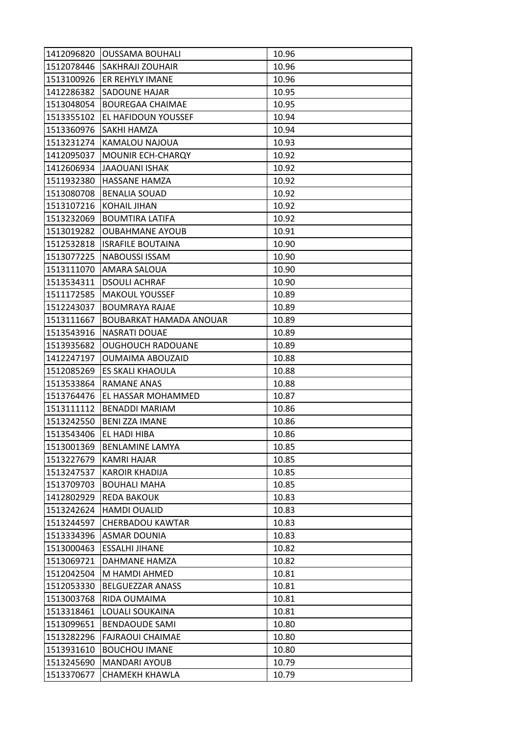| 1412096820 | <b>OUSSAMA BOUHALI</b>   | 10.96 |
|------------|--------------------------|-------|
| 1512078446 | <b>SAKHRAJI ZOUHAIR</b>  | 10.96 |
| 1513100926 | ER REHYLY IMANE          | 10.96 |
| 1412286382 | SADOUNE HAJAR            | 10.95 |
| 1513048054 | <b>BOUREGAA CHAIMAE</b>  | 10.95 |
| 1513355102 | EL HAFIDOUN YOUSSEF      | 10.94 |
| 1513360976 | SAKHI HAMZA              | 10.94 |
| 1513231274 | KAMALOU NAJOUA           | 10.93 |
| 1412095037 | MOUNIR ECH-CHARQY        | 10.92 |
| 1412606934 | <b>JAAOUANI ISHAK</b>    | 10.92 |
| 1511932380 | HASSANE HAMZA            | 10.92 |
| 1513080708 | <b>BENALIA SOUAD</b>     | 10.92 |
| 1513107216 | KOHAIL JIHAN             | 10.92 |
| 1513232069 | <b>BOUMTIRA LATIFA</b>   | 10.92 |
| 1513019282 | <b>OUBAHMANE AYOUB</b>   | 10.91 |
| 1512532818 | <b>ISRAFILE BOUTAINA</b> | 10.90 |
| 1513077225 | <b>NABOUSSI ISSAM</b>    | 10.90 |
| 1513111070 | AMARA SALOUA             | 10.90 |
| 1513534311 | <b>DSOULI ACHRAF</b>     | 10.90 |
| 1511172585 | <b>MAKOUL YOUSSEF</b>    | 10.89 |
| 1512243037 | <b>BOUMRAYA RAJAE</b>    | 10.89 |
| 1513111667 | BOUBARKAT HAMADA ANOUAR  | 10.89 |
| 1513543916 | NASRATI DOUAE            | 10.89 |
| 1513935682 | <b>OUGHOUCH RADOUANE</b> | 10.89 |
| 1412247197 | <b>OUMAIMA ABOUZAID</b>  | 10.88 |
| 1512085269 | ES SKALI KHAOULA         | 10.88 |
| 1513533864 | RAMANE ANAS              | 10.88 |
| 1513764476 | EL HASSAR MOHAMMED       | 10.87 |
| 1513111112 | <b>BENADDI MARIAM</b>    | 10.86 |
| 1513242550 | <b>BENI ZZA IMANE</b>    | 10.86 |
| 1513543406 | EL HADI HIBA             | 10.86 |
| 1513001369 | <b>BENLAMINE LAMYA</b>   | 10.85 |
| 1513227679 | KAMRI HAJAR              | 10.85 |
| 1513247537 | <b>KAROIR KHADIJA</b>    | 10.85 |
| 1513709703 | <b>BOUHALI MAHA</b>      | 10.85 |
| 1412802929 | REDA BAKOUK              | 10.83 |
| 1513242624 | <b>HAMDI OUALID</b>      | 10.83 |
| 1513244597 | <b>CHERBADOU KAWTAR</b>  | 10.83 |
| 1513334396 | <b>ASMAR DOUNIA</b>      | 10.83 |
| 1513000463 | <b>ESSALHI JIHANE</b>    | 10.82 |
| 1513069721 | DAHMANE HAMZA            | 10.82 |
| 1512042504 | M HAMDI AHMED            | 10.81 |
| 1512053330 | <b>BELGUEZZAR ANASS</b>  | 10.81 |
| 1513003768 | RIDA OUMAIMA             | 10.81 |
| 1513318461 | LOUALI SOUKAINA          | 10.81 |
| 1513099651 | <b>BENDAOUDE SAMI</b>    | 10.80 |
| 1513282296 | <b>FAJRAOUI CHAIMAE</b>  | 10.80 |
| 1513931610 | <b>BOUCHOU IMANE</b>     | 10.80 |
| 1513245690 | <b>MANDARI AYOUB</b>     | 10.79 |
| 1513370677 | CHAMEKH KHAWLA           | 10.79 |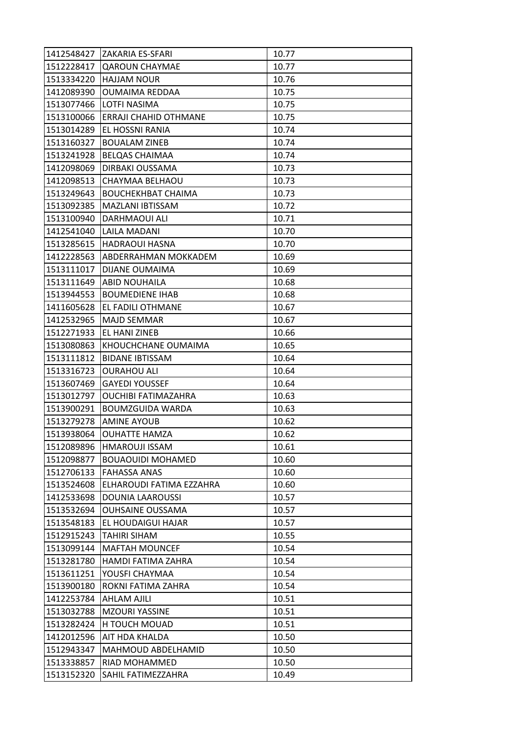| 1412548427 | ZAKARIA ES-SFARI             | 10.77 |
|------------|------------------------------|-------|
| 1512228417 | <b>QAROUN CHAYMAE</b>        | 10.77 |
| 1513334220 | <b>HAJJAM NOUR</b>           | 10.76 |
| 1412089390 | <b>OUMAIMA REDDAA</b>        | 10.75 |
| 1513077466 | LOTFI NASIMA                 | 10.75 |
| 1513100066 | <b>ERRAJI CHAHID OTHMANE</b> | 10.75 |
| 1513014289 | EL HOSSNI RANIA              | 10.74 |
| 1513160327 | <b>BOUALAM ZINEB</b>         | 10.74 |
| 1513241928 | BELQAS CHAIMAA               | 10.74 |
| 1412098069 | DIRBAKI OUSSAMA              | 10.73 |
| 1412098513 | CHAYMAA BELHAOU              | 10.73 |
| 1513249643 | <b>BOUCHEKHBAT CHAIMA</b>    | 10.73 |
| 1513092385 | MAZLANI IBTISSAM             | 10.72 |
| 1513100940 | DARHMAOUI ALI                | 10.71 |
| 1412541040 | LAILA MADANI                 | 10.70 |
| 1513285615 | <b>HADRAOUI HASNA</b>        | 10.70 |
| 1412228563 | ABDERRAHMAN MOKKADEM         | 10.69 |
| 1513111017 | <b>DIJANE OUMAIMA</b>        | 10.69 |
| 1513111649 | <b>ABID NOUHAILA</b>         | 10.68 |
| 1513944553 | <b>BOUMEDIENE IHAB</b>       | 10.68 |
| 1411605628 | EL FADILI OTHMANE            | 10.67 |
| 1412532965 | <b>MAJD SEMMAR</b>           | 10.67 |
| 1512271933 | EL HANI ZINEB                | 10.66 |
| 1513080863 | KHOUCHCHANE OUMAIMA          | 10.65 |
| 1513111812 | <b>BIDANE IBTISSAM</b>       | 10.64 |
| 1513316723 | <b>OURAHOU ALI</b>           | 10.64 |
| 1513607469 | <b>GAYEDI YOUSSEF</b>        | 10.64 |
| 1513012797 | <b>OUCHIBI FATIMAZAHRA</b>   | 10.63 |
| 1513900291 | <b>BOUMZGUIDA WARDA</b>      | 10.63 |
| 1513279278 | AMINE AYOUB                  | 10.62 |
| 1513938064 | <b>OUHATTE HAMZA</b>         | 10.62 |
| 1512089896 | <b>HMAROUJI ISSAM</b>        | 10.61 |
| 1512098877 | <b>BOUAOUIDI MOHAMED</b>     | 10.60 |
| 1512706133 | <b>FAHASSA ANAS</b>          | 10.60 |
| 1513524608 | ELHAROUDI FATIMA EZZAHRA     | 10.60 |
| 1412533698 | <b>DOUNIA LAAROUSSI</b>      | 10.57 |
| 1513532694 | <b>OUHSAINE OUSSAMA</b>      | 10.57 |
| 1513548183 | EL HOUDAIGUI HAJAR           | 10.57 |
| 1512915243 | <b>TAHIRI SIHAM</b>          | 10.55 |
| 1513099144 | <b>MAFTAH MOUNCEF</b>        | 10.54 |
| 1513281780 | HAMDI FATIMA ZAHRA           | 10.54 |
| 1513611251 | YOUSFI CHAYMAA               | 10.54 |
| 1513900180 | ROKNI FATIMA ZAHRA           | 10.54 |
| 1412253784 | AHLAM AJILI                  | 10.51 |
| 1513032788 | <b>MZOURI YASSINE</b>        | 10.51 |
| 1513282424 | H TOUCH MOUAD                | 10.51 |
| 1412012596 | AIT HDA KHALDA               | 10.50 |
| 1512943347 | MAHMOUD ABDELHAMID           | 10.50 |
| 1513338857 | RIAD MOHAMMED                | 10.50 |
| 1513152320 | SAHIL FATIMEZZAHRA           | 10.49 |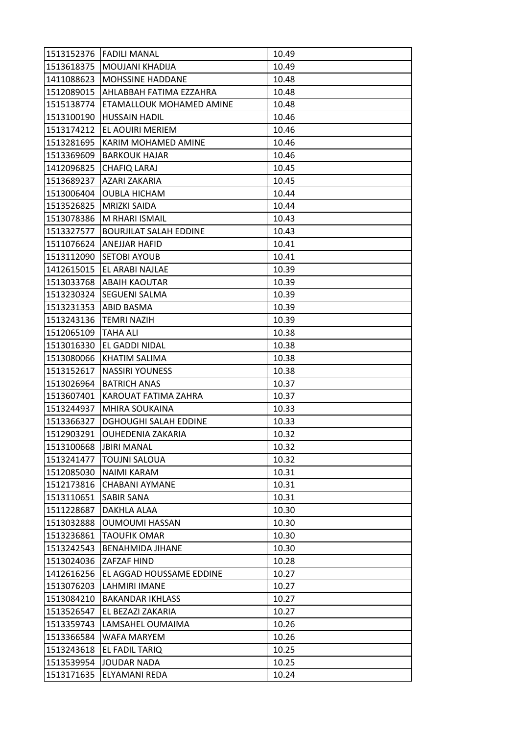|            | 1513152376 FADILI MANAL       | 10.49 |
|------------|-------------------------------|-------|
| 1513618375 | MOUJANI KHADIJA               | 10.49 |
| 1411088623 | <b>MOHSSINE HADDANE</b>       | 10.48 |
| 1512089015 | AHLABBAH FATIMA EZZAHRA       | 10.48 |
| 1515138774 | ETAMALLOUK MOHAMED AMINE      | 10.48 |
| 1513100190 | <b>HUSSAIN HADIL</b>          | 10.46 |
| 1513174212 | EL AOUIRI MERIEM              | 10.46 |
| 1513281695 | KARIM MOHAMED AMINE           | 10.46 |
| 1513369609 | <b>BARKOUK HAJAR</b>          | 10.46 |
| 1412096825 | CHAFIQ LARAJ                  | 10.45 |
| 1513689237 | AZARI ZAKARIA                 | 10.45 |
| 1513006404 | <b>OUBLA HICHAM</b>           | 10.44 |
| 1513526825 | <b>MRIZKI SAIDA</b>           | 10.44 |
| 1513078386 | M RHARI ISMAIL                | 10.43 |
| 1513327577 | <b>BOURJILAT SALAH EDDINE</b> | 10.43 |
| 1511076624 | ANEJJAR HAFID                 | 10.41 |
| 1513112090 | <b>SETOBI AYOUB</b>           | 10.41 |
| 1412615015 | EL ARABI NAJLAE               | 10.39 |
| 1513033768 | <b>ABAIH KAOUTAR</b>          | 10.39 |
| 1513230324 | SEGUENI SALMA                 | 10.39 |
| 1513231353 | ABID BASMA                    | 10.39 |
| 1513243136 | <b>TEMRI NAZIH</b>            | 10.39 |
| 1512065109 | TAHA ALI                      | 10.38 |
| 1513016330 | EL GADDI NIDAL                | 10.38 |
| 1513080066 | KHATIM SALIMA                 | 10.38 |
| 1513152617 | <b>NASSIRI YOUNESS</b>        | 10.38 |
| 1513026964 | <b>BATRICH ANAS</b>           | 10.37 |
| 1513607401 | KAROUAT FATIMA ZAHRA          | 10.37 |
| 1513244937 | MHIRA SOUKAINA                | 10.33 |
| 1513366327 | <b>DGHOUGHI SALAH EDDINE</b>  | 10.33 |
| 1512903291 | OUHEDENIA ZAKARIA             | 10.32 |
| 1513100668 | <b>JBIRI MANAL</b>            | 10.32 |
| 1513241477 | <b>TOUJNI SALOUA</b>          | 10.32 |
| 1512085030 | NAIMI KARAM                   | 10.31 |
| 1512173816 | <b>CHABANI AYMANE</b>         | 10.31 |
| 1513110651 | SABIR SANA                    | 10.31 |
| 1511228687 | DAKHLA ALAA                   | 10.30 |
| 1513032888 | <b>OUMOUMI HASSAN</b>         | 10.30 |
| 1513236861 | TAOUFIK OMAR                  | 10.30 |
| 1513242543 | <b>BENAHMIDA JIHANE</b>       | 10.30 |
| 1513024036 | ZAFZAF HIND                   | 10.28 |
| 1412616256 | EL AGGAD HOUSSAME EDDINE      | 10.27 |
| 1513076203 | LAHMIRI IMANE                 | 10.27 |
| 1513084210 | <b>BAKANDAR IKHLASS</b>       | 10.27 |
| 1513526547 | EL BEZAZI ZAKARIA             | 10.27 |
| 1513359743 | LAMSAHEL OUMAIMA              | 10.26 |
| 1513366584 | WAFA MARYEM                   | 10.26 |
| 1513243618 | EL FADIL TARIQ                | 10.25 |
| 1513539954 | <b>JOUDAR NADA</b>            | 10.25 |
| 1513171635 | ELYAMANI REDA                 | 10.24 |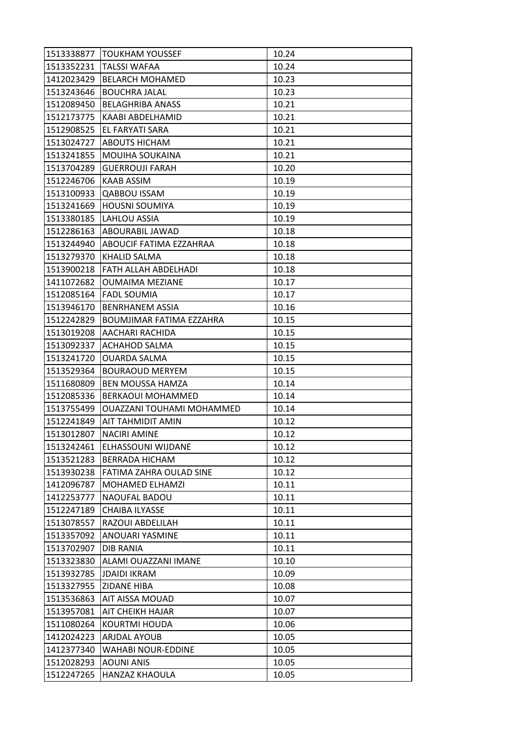| 1513338877 | <b>TOUKHAM YOUSSEF</b>    | 10.24 |
|------------|---------------------------|-------|
| 1513352231 | <b>TALSSI WAFAA</b>       | 10.24 |
| 1412023429 | <b>BELARCH MOHAMED</b>    | 10.23 |
| 1513243646 | <b>BOUCHRA JALAL</b>      | 10.23 |
| 1512089450 | <b>BELAGHRIBA ANASS</b>   | 10.21 |
| 1512173775 | KAABI ABDELHAMID          | 10.21 |
| 1512908525 | EL FARYATI SARA           | 10.21 |
| 1513024727 | ABOUTS HICHAM             | 10.21 |
| 1513241855 | MOUIHA SOUKAINA           | 10.21 |
| 1513704289 | <b>GUERROUJI FARAH</b>    | 10.20 |
| 1512246706 | KAAB ASSIM                | 10.19 |
| 1513100933 | <b>QABBOU ISSAM</b>       | 10.19 |
| 1513241669 | <b>HOUSNI SOUMIYA</b>     | 10.19 |
| 1513380185 | LAHLOU ASSIA              | 10.19 |
| 1512286163 | ABOURABIL JAWAD           | 10.18 |
| 1513244940 | ABOUCIF FATIMA EZZAHRAA   | 10.18 |
| 1513279370 | KHALID SALMA              | 10.18 |
| 1513900218 | FATH ALLAH ABDELHADI      | 10.18 |
| 1411072682 | <b>OUMAIMA MEZIANE</b>    | 10.17 |
| 1512085164 | <b>FADL SOUMIA</b>        | 10.17 |
| 1513946170 | <b>BENRHANEM ASSIA</b>    | 10.16 |
| 1512242829 | BOUMJIMAR FATIMA EZZAHRA  | 10.15 |
| 1513019208 | AACHARI RACHIDA           | 10.15 |
| 1513092337 | ACHAHOD SALMA             | 10.15 |
| 1513241720 | <b>OUARDA SALMA</b>       | 10.15 |
| 1513529364 | <b>BOURAOUD MERYEM</b>    | 10.15 |
| 1511680809 | <b>BEN MOUSSA HAMZA</b>   | 10.14 |
| 1512085336 | <b>BERKAOUI MOHAMMED</b>  | 10.14 |
| 1513755499 | OUAZZANI TOUHAMI MOHAMMED | 10.14 |
| 1512241849 | AIT TAHMIDIT AMIN         | 10.12 |
| 1513012807 | <b>NACIRI AMINE</b>       | 10.12 |
| 1513242461 | ELHASSOUNI WIJDANE        | 10.12 |
| 1513521283 | <b>BERRADA HICHAM</b>     | 10.12 |
| 1513930238 | FATIMA ZAHRA OULAD SINE   | 10.12 |
| 1412096787 | MOHAMED ELHAMZI           | 10.11 |
| 1412253777 | NAOUFAL BADOU             | 10.11 |
| 1512247189 | <b>CHAIBA ILYASSE</b>     | 10.11 |
| 1513078557 | RAZOUI ABDELILAH          | 10.11 |
| 1513357092 | ANOUARI YASMINE           | 10.11 |
| 1513702907 | <b>DIB RANIA</b>          | 10.11 |
| 1513323830 | ALAMI OUAZZANI IMANE      | 10.10 |
| 1513932785 | <b>JDAIDI IKRAM</b>       | 10.09 |
| 1513327955 | <b>ZIDANE HIBA</b>        | 10.08 |
| 1513536863 | AIT AISSA MOUAD           | 10.07 |
| 1513957081 | AIT CHEIKH HAJAR          | 10.07 |
| 1511080264 | KOURTMI HOUDA             | 10.06 |
| 1412024223 | ARJDAL AYOUB              | 10.05 |
| 1412377340 | <b>WAHABI NOUR-EDDINE</b> | 10.05 |
| 1512028293 | <b>AOUNI ANIS</b>         | 10.05 |
| 1512247265 | <b>HANZAZ KHAOULA</b>     | 10.05 |